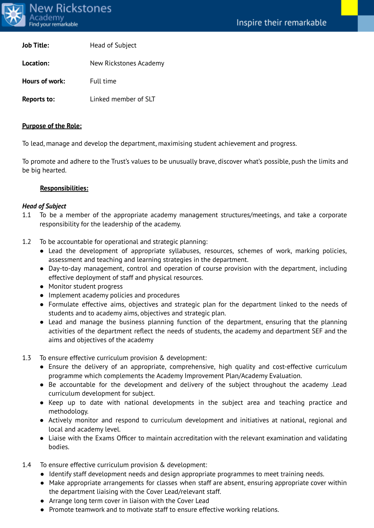

| <b>Job Title:</b>  | Head of Subject        |
|--------------------|------------------------|
| Location:          | New Rickstones Academy |
| Hours of work:     | Full time              |
| <b>Reports to:</b> | Linked member of SLT   |

#### **Purpose of the Role:**

To lead, manage and develop the department, maximising student achievement and progress.

To promote and adhere to the Trust's values to be unusually brave, discover what's possible, push the limits and be big hearted.

#### **Responsibilities:**

#### *Head of Subject*

- 1.1 To be a member of the appropriate academy management structures/meetings, and take a corporate responsibility for the leadership of the academy.
- 1.2 To be accountable for operational and strategic planning:
	- Lead the development of appropriate syllabuses, resources, schemes of work, marking policies, assessment and teaching and learning strategies in the department.
	- Day-to-day management, control and operation of course provision with the department, including effective deployment of staff and physical resources.
	- Monitor student progress
	- Implement academy policies and procedures
	- Formulate effective aims, objectives and strategic plan for the department linked to the needs of students and to academy aims, objectives and strategic plan.
	- Lead and manage the business planning function of the department, ensuring that the planning activities of the department reflect the needs of students, the academy and department SEF and the aims and objectives of the academy
- 1.3 To ensure effective curriculum provision & development:
	- Ensure the delivery of an appropriate, comprehensive, high quality and cost-effective curriculum programme which complements the Academy Improvement Plan/Academy Evaluation.
	- Be accountable for the development and delivery of the subject throughout the academy .Lead curriculum development for subject.
	- Keep up to date with national developments in the subject area and teaching practice and methodology.
	- Actively monitor and respond to curriculum development and initiatives at national, regional and local and academy level.
	- Liaise with the Exams Officer to maintain accreditation with the relevant examination and validating bodies.
- 1.4 To ensure effective curriculum provision & development:
	- Identify staff development needs and design appropriate programmes to meet training needs.
	- Make appropriate arrangements for classes when staff are absent, ensuring appropriate cover within the department liaising with the Cover Lead/relevant staff.
	- Arrange long term cover in liaison with the Cover Lead
	- Promote teamwork and to motivate staff to ensure effective working relations.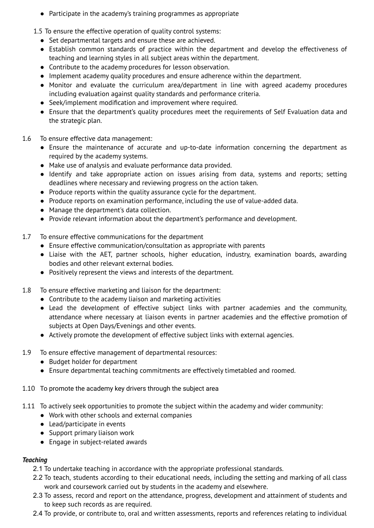- Participate in the academy's training programmes as appropriate
- 1.5 To ensure the effective operation of quality control systems:
	- Set departmental targets and ensure these are achieved.
	- Establish common standards of practice within the department and develop the effectiveness of teaching and learning styles in all subject areas within the department.
	- Contribute to the academy procedures for lesson observation.
	- Implement academy quality procedures and ensure adherence within the department.
	- Monitor and evaluate the curriculum area/department in line with agreed academy procedures including evaluation against quality standards and performance criteria.
	- Seek/implement modification and improvement where required.
	- Ensure that the department's quality procedures meet the requirements of Self Evaluation data and the strategic plan.
- 1.6 To ensure effective data management:
	- Ensure the maintenance of accurate and up-to-date information concerning the department as required by the academy systems.
	- Make use of analysis and evaluate performance data provided.
	- Identify and take appropriate action on issues arising from data, systems and reports; setting deadlines where necessary and reviewing progress on the action taken.
	- Produce reports within the quality assurance cycle for the department.
	- Produce reports on examination performance, including the use of value-added data.
	- Manage the department's data collection.
	- Provide relevant information about the department's performance and development.
- 1.7 To ensure effective communications for the department
	- Ensure effective communication/consultation as appropriate with parents
	- Liaise with the AET, partner schools, higher education, industry, examination boards, awarding bodies and other relevant external bodies.
	- Positively represent the views and interests of the department.
- 1.8 To ensure effective marketing and liaison for the department:
	- Contribute to the academy liaison and marketing activities
	- Lead the development of effective subject links with partner academies and the community, attendance where necessary at liaison events in partner academies and the effective promotion of subjects at Open Days/Evenings and other events.
	- Actively promote the development of effective subject links with external agencies.
- 1.9 To ensure effective management of departmental resources:
	- Budget holder for department
	- Ensure departmental teaching commitments are effectively timetabled and roomed.
- 1.10 To promote the academy key drivers through the subject area
- 1.11 To actively seek opportunities to promote the subject within the academy and wider community:
	- Work with other schools and external companies
	- Lead/participate in events
	- Support primary liaison work
	- Engage in subject-related awards

### *Teaching*

- 2.1 To undertake teaching in accordance with the appropriate professional standards.
- 2.2 To teach, students according to their educational needs, including the setting and marking of all class work and coursework carried out by students in the academy and elsewhere.
- 2.3 To assess, record and report on the attendance, progress, development and attainment of students and to keep such records as are required.
- 2.4 To provide, or contribute to, oral and written assessments, reports and references relating to individual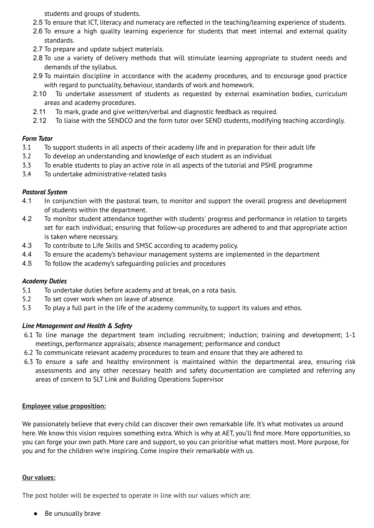students and groups of students.

- 2.5 To ensure that ICT, literacy and numeracy are reflected in the teaching/learning experience of students.
- 2.6 To ensure a high quality learning experience for students that meet internal and external quality standards.
- 2.7 To prepare and update subject materials.
- 2.8 To use a variety of delivery methods that will stimulate learning appropriate to student needs and demands of the syllabus.
- 2.9 To maintain discipline in accordance with the academy procedures, and to encourage good practice with regard to punctuality, behaviour, standards of work and homework.
- 2.10 To undertake assessment of students as requested by external examination bodies, curriculum areas and academy procedures.
- 2.11 To mark, grade and give written/verbal and diagnostic feedback as required.
- 2.12 To liaise with the SENDCO and the form tutor over SEND students, modifying teaching accordingly.

## *Form Tutor*

- 3.1 To support students in all aspects of their academy life and in preparation for their adult life
- 3.2 To develop an understanding and knowledge of each student as an individual
- 3.3 To enable students to play an active role in all aspects of the tutorial and PSHE programme
- 3.4 To undertake administrative-related tasks

## *Pastoral System*

- 4.1 In conjunction with the pastoral team, to monitor and support the overall progress and development of students within the department.
- 4.2 To monitor student attendance together with students' progress and performance in relation to targets set for each individual; ensuring that follow-up procedures are adhered to and that appropriate action is taken where necessary.
- 4.3 To contribute to Life Skills and SMSC according to academy policy.
- 4.4 To ensure the academy's behaviour management systems are implemented in the department
- 4.5 To follow the academy's safeguarding policies and procedures

# *Academy Duties*

- 5.1 To undertake duties before academy and at break, on a rota basis.
- 5.2 To set cover work when on leave of absence.
- 5.3 To play a full part in the life of the academy community, to support its values and ethos.

# *Line Management and Health & Safety*

- 6.1 To line manage the department team including recruitment; induction; training and development; 1-1 meetings, performance appraisals; absence management; performance and conduct
- 6.2 To communicate relevant academy procedures to team and ensure that they are adhered to
- 6.3 To ensure a safe and healthy environment is maintained within the departmental area, ensuring risk assessments and any other necessary health and safety documentation are completed and referring any areas of concern to SLT Link and Building Operations Supervisor

### **Employee value proposition:**

We passionately believe that every child can discover their own remarkable life. It's what motivates us around here. We know this vision requires something extra. Which is why at AET, you'll find more. More opportunities, so you can forge your own path. More care and support, so you can prioritise what matters most. More purpose, for you and for the children we're inspiring. Come inspire their remarkable with us.

### **Our values:**

The post holder will be expected to operate in line with our values which are:

● Be unusually brave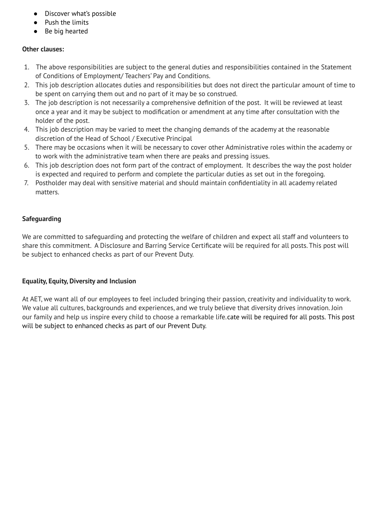- Discover what's possible
- Push the limits
- Be big hearted

### **Other clauses:**

- 1. The above responsibilities are subject to the general duties and responsibilities contained in the Statement of Conditions of Employment/ Teachers' Pay and Conditions.
- 2. This job description allocates duties and responsibilities but does not direct the particular amount of time to be spent on carrying them out and no part of it may be so construed.
- 3. The job description is not necessarily a comprehensive definition of the post. It will be reviewed at least once a year and it may be subject to modification or amendment at any time after consultation with the holder of the post.
- 4. This job description may be varied to meet the changing demands of the academy at the reasonable discretion of the Head of School / Executive Principal
- 5. There may be occasions when it will be necessary to cover other Administrative roles within the academy or to work with the administrative team when there are peaks and pressing issues.
- 6. This job description does not form part of the contract of employment. It describes the way the post holder is expected and required to perform and complete the particular duties as set out in the foregoing.
- 7. Postholder may deal with sensitive material and should maintain confidentiality in all academy related matters.

## **Safeguarding**

We are committed to safeguarding and protecting the welfare of children and expect all staff and volunteers to share this commitment. A Disclosure and Barring Service Certificate will be required for all posts. This post will be subject to enhanced checks as part of our Prevent Duty.

### **Equality, Equity, Diversity and Inclusion**

At AET, we want all of our employees to feel included bringing their passion, creativity and individuality to work. We value all cultures, backgrounds and experiences, and we truly believe that diversity drives innovation. Join our family and help us inspire every child to choose a remarkable life.cate will be required for all posts. This post will be subject to enhanced checks as part of our Prevent Duty.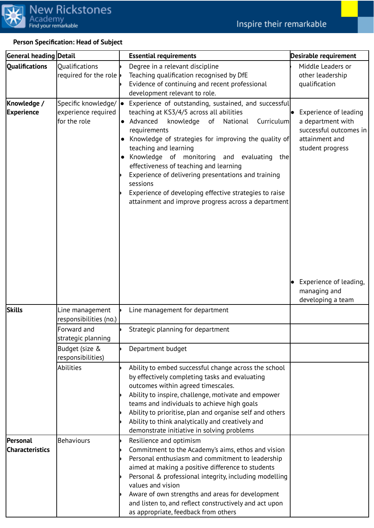

# **Person Specification: Head of Subject**

| <b>General heading Detail</b>             |                                                                          | <b>Essential requirements</b>                                                                                                                                                                                                                                                                                                                                                                                                                                                                                                                              | Desirable requirement                                                                                      |
|-------------------------------------------|--------------------------------------------------------------------------|------------------------------------------------------------------------------------------------------------------------------------------------------------------------------------------------------------------------------------------------------------------------------------------------------------------------------------------------------------------------------------------------------------------------------------------------------------------------------------------------------------------------------------------------------------|------------------------------------------------------------------------------------------------------------|
| <b>Qualifications</b>                     | <b>Qualifications</b><br>required for the role                           | Degree in a relevant discipline<br>Teaching qualification recognised by DfE<br>Evidence of continuing and recent professional<br>development relevant to role.                                                                                                                                                                                                                                                                                                                                                                                             | Middle Leaders or<br>other leadership<br>qualification                                                     |
| Knowledge /<br><b>Experience</b>          | Specific knowledge/ $  \bullet  $<br>experience required<br>for the role | Experience of outstanding, sustained, and successful<br>teaching at KS3/4/5 across all abilities<br>$\bullet$ Advanced<br>knowledge of National<br>Curriculum<br>requirements<br>Knowledge of strategies for improving the quality of<br>teaching and learning<br>Knowledge of monitoring and evaluating<br>the<br>$\bullet$<br>effectiveness of teaching and learning<br>Experience of delivering presentations and training<br>sessions<br>Experience of developing effective strategies to raise<br>attainment and improve progress across a department | Experience of leading<br>a department with<br>successful outcomes in<br>attainment and<br>student progress |
|                                           |                                                                          |                                                                                                                                                                                                                                                                                                                                                                                                                                                                                                                                                            | Experience of leading,<br>managing and<br>developing a team                                                |
| <b>Skills</b>                             | Line management<br>responsibilities (no.)                                | Line management for department                                                                                                                                                                                                                                                                                                                                                                                                                                                                                                                             |                                                                                                            |
|                                           | Forward and<br>strategic planning                                        | Strategic planning for department                                                                                                                                                                                                                                                                                                                                                                                                                                                                                                                          |                                                                                                            |
|                                           | Budget (size &<br>responsibilities)                                      | Department budget                                                                                                                                                                                                                                                                                                                                                                                                                                                                                                                                          |                                                                                                            |
|                                           | Abilities                                                                | Ability to embed successful change across the school<br>by effectively completing tasks and evaluating<br>outcomes within agreed timescales.<br>Ability to inspire, challenge, motivate and empower<br>teams and individuals to achieve high goals<br>Ability to prioritise, plan and organise self and others<br>Ability to think analytically and creatively and<br>demonstrate initiative in solving problems                                                                                                                                           |                                                                                                            |
| <b>Personal</b><br><b>Characteristics</b> | Behaviours                                                               | Resilience and optimism<br>Commitment to the Academy's aims, ethos and vision<br>Personal enthusiasm and commitment to leadership<br>aimed at making a positive difference to students<br>Personal & professional integrity, including modelling<br>values and vision<br>Aware of own strengths and areas for development<br>and listen to, and reflect constructively and act upon<br>as appropriate, feedback from others                                                                                                                                |                                                                                                            |